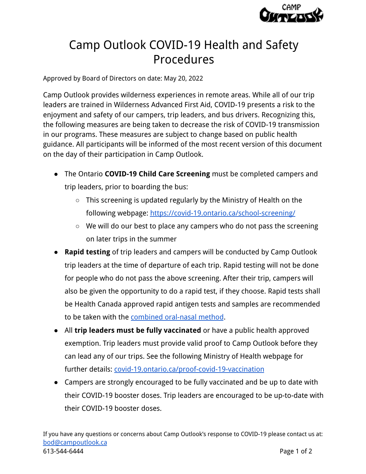

## Camp Outlook COVID-19 Health and Safety Procedures

Approved by Board of Directors on date: May 20, 2022

Camp Outlook provides wilderness experiences in remote areas. While all of our trip leaders are trained in Wilderness Advanced First Aid, COVID-19 presents a risk to the enjoyment and safety of our campers, trip leaders, and bus drivers. Recognizing this, the following measures are being taken to decrease the risk of COVID-19 transmission in our programs. These measures are subject to change based on public health guidance. All participants will be informed of the most recent version of this document on the day of their participation in Camp Outlook.

- The Ontario **COVID-19 Child Care Screening** must be completed campers and trip leaders, prior to boarding the bus:
	- $\circ$  This screening is updated regularly by the Ministry of Health on the following webpage: <https://covid-19.ontario.ca/school-screening/>
	- We will do our best to place any campers who do not pass the screening on later trips in the summer
- **Rapid testing** of trip leaders and campers will be conducted by Camp Outlook trip leaders at the time of departure of each trip. Rapid testing will not be done for people who do not pass the above screening. After their trip, campers will also be given the opportunity to do a rapid test, if they choose. Rapid tests shall be Health Canada approved rapid antigen tests and samples are recommended to be taken with the [combined oral-nasal method](https://www.ontariohealth.ca/sites/ontariohealth/files/2022-02/COVID-19RapidAntigenTests-HowtoCollectaSample.pdf).
- All **trip leaders must be fully vaccinated** or have a public health approved exemption. Trip leaders must provide valid proof to Camp Outlook before they can lead any of our trips. See the following Ministry of Health webpage for further details: [covid-19.ontario.ca/proof-covid-19-vaccination](https://covid-19.ontario.ca/proof-covid-19-vaccination)
- Campers are strongly encouraged to be fully vaccinated and be up to date with their COVID-19 booster doses. Trip leaders are encouraged to be up-to-date with their COVID-19 booster doses.